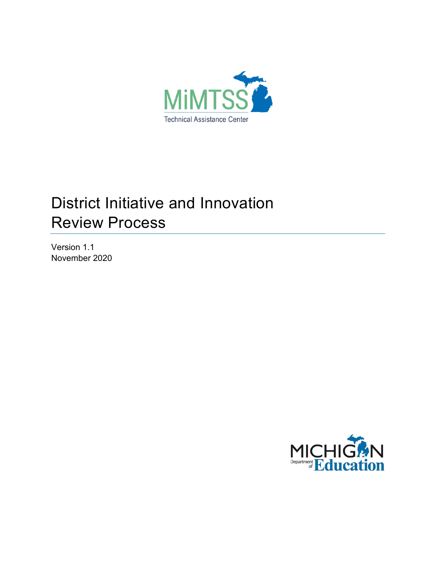

# District Initiative and Innovation Review Process

Version 1.1 November 2020

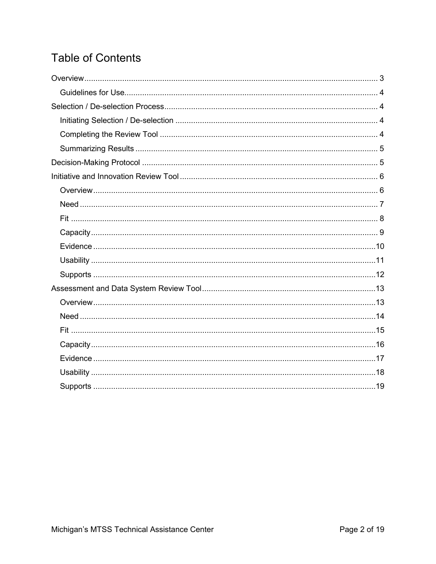## **Table of Contents**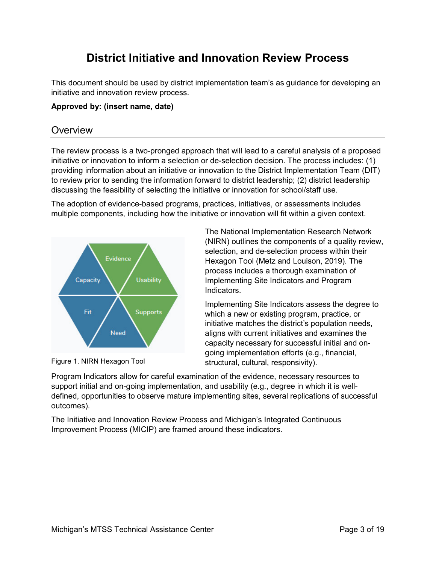## **District Initiative and Innovation Review Process**

This document should be used by district implementation team's as guidance for developing an initiative and innovation review process.

#### **Approved by: (insert name, date)**

## <span id="page-2-0"></span>**Overview**

The review process is a two-pronged approach that will lead to a careful analysis of a proposed initiative or innovation to inform a selection or de-selection decision. The process includes: (1) providing information about an initiative or innovation to the District Implementation Team (DIT) to review prior to sending the information forward to district leadership; (2) district leadership discussing the feasibility of selecting the initiative or innovation for school/staff use.

The adoption of evidence-based programs, practices, initiatives, or assessments includes multiple components, including how the initiative or innovation will fit within a given context.



Figure 1. NIRN Hexagon Tool

The National Implementation Research Network (NIRN) outlines the components of a quality review, selection, and de-selection process within their Hexagon Tool (Metz and Louison, 2019). The process includes a thorough examination of Implementing Site Indicators and Program Indicators.

Implementing Site Indicators assess the degree to which a new or existing program, practice, or initiative matches the district's population needs, aligns with current initiatives and examines the capacity necessary for successful initial and ongoing implementation efforts (e.g., financial, structural, cultural, responsivity).

Program Indicators allow for careful examination of the evidence, necessary resources to support initial and on-going implementation, and usability (e.g., degree in which it is welldefined, opportunities to observe mature implementing sites, several replications of successful outcomes).

The Initiative and Innovation Review Process and Michigan's Integrated Continuous Improvement Process (MICIP) are framed around these indicators.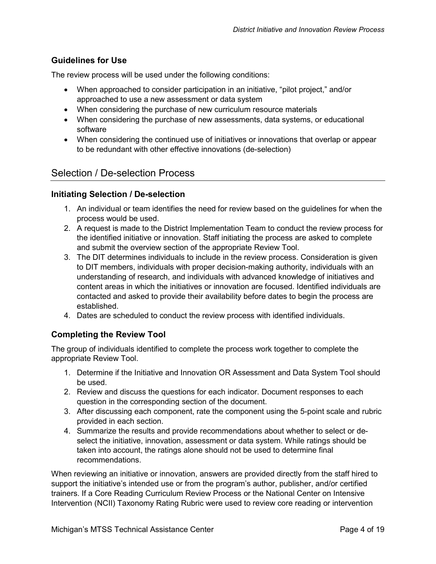## <span id="page-3-0"></span>**Guidelines for Use**

The review process will be used under the following conditions:

- When approached to consider participation in an initiative, "pilot project," and/or approached to use a new assessment or data system
- When considering the purchase of new curriculum resource materials
- When considering the purchase of new assessments, data systems, or educational software
- When considering the continued use of initiatives or innovations that overlap or appear to be redundant with other effective innovations (de-selection)

## <span id="page-3-1"></span>Selection / De-selection Process

## <span id="page-3-2"></span>**Initiating Selection / De-selection**

- 1. An individual or team identifies the need for review based on the guidelines for when the process would be used.
- 2. A request is made to the District Implementation Team to conduct the review process for the identified initiative or innovation. Staff initiating the process are asked to complete and submit the overview section of the appropriate Review Tool.
- 3. The DIT determines individuals to include in the review process. Consideration is given to DIT members, individuals with proper decision-making authority, individuals with an understanding of research, and individuals with advanced knowledge of initiatives and content areas in which the initiatives or innovation are focused. Identified individuals are contacted and asked to provide their availability before dates to begin the process are established.
- 4. Dates are scheduled to conduct the review process with identified individuals.

## <span id="page-3-3"></span>**Completing the Review Tool**

The group of individuals identified to complete the process work together to complete the appropriate Review Tool.

- 1. Determine if the Initiative and Innovation OR Assessment and Data System Tool should be used.
- 2. Review and discuss the questions for each indicator. Document responses to each question in the corresponding section of the document.
- 3. After discussing each component, rate the component using the 5-point scale and rubric provided in each section.
- 4. Summarize the results and provide recommendations about whether to select or deselect the initiative, innovation, assessment or data system. While ratings should be taken into account, the ratings alone should not be used to determine final recommendations.

When reviewing an initiative or innovation, answers are provided directly from the staff hired to support the initiative's intended use or from the program's author, publisher, and/or certified trainers. If a Core Reading Curriculum Review Process or the National Center on Intensive Intervention (NCII) Taxonomy Rating Rubric were used to review core reading or intervention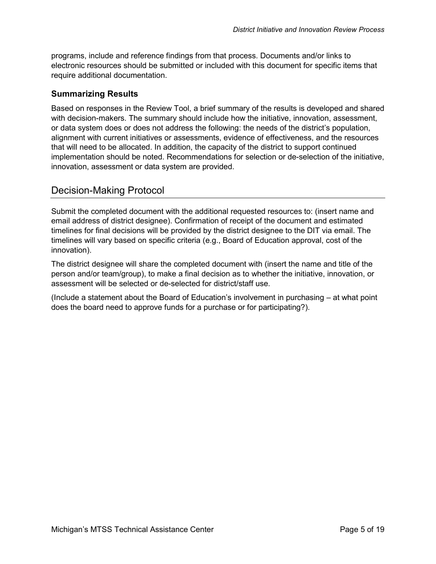programs, include and reference findings from that process. Documents and/or links to electronic resources should be submitted or included with this document for specific items that require additional documentation.

## <span id="page-4-0"></span>**Summarizing Results**

Based on responses in the Review Tool, a brief summary of the results is developed and shared with decision-makers. The summary should include how the initiative, innovation, assessment, or data system does or does not address the following: the needs of the district's population, alignment with current initiatives or assessments, evidence of effectiveness, and the resources that will need to be allocated. In addition, the capacity of the district to support continued implementation should be noted. Recommendations for selection or de-selection of the initiative, innovation, assessment or data system are provided.

## <span id="page-4-1"></span>Decision-Making Protocol

Submit the completed document with the additional requested resources to: (insert name and email address of district designee). Confirmation of receipt of the document and estimated timelines for final decisions will be provided by the district designee to the DIT via email. The timelines will vary based on specific criteria (e.g., Board of Education approval, cost of the innovation).

The district designee will share the completed document with (insert the name and title of the person and/or team/group), to make a final decision as to whether the initiative, innovation, or assessment will be selected or de-selected for district/staff use.

(Include a statement about the Board of Education's involvement in purchasing – at what point does the board need to approve funds for a purchase or for participating?).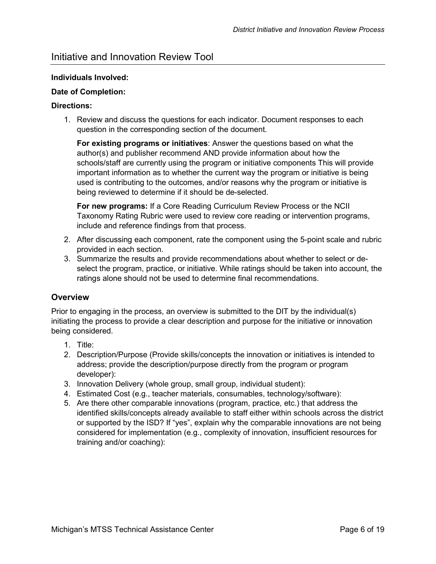## <span id="page-5-0"></span>Initiative and Innovation Review Tool

#### **Individuals Involved:**

#### **Date of Completion:**

#### **Directions:**

1. Review and discuss the questions for each indicator. Document responses to each question in the corresponding section of the document.

**For existing programs or initiatives**: Answer the questions based on what the author(s) and publisher recommend AND provide information about how the schools/staff are currently using the program or initiative components This will provide important information as to whether the current way the program or initiative is being used is contributing to the outcomes, and/or reasons why the program or initiative is being reviewed to determine if it should be de-selected.

**For new programs:** If a Core Reading Curriculum Review Process or the NCII Taxonomy Rating Rubric were used to review core reading or intervention programs, include and reference findings from that process.

- 2. After discussing each component, rate the component using the 5-point scale and rubric provided in each section.
- 3. Summarize the results and provide recommendations about whether to select or deselect the program, practice, or initiative. While ratings should be taken into account, the ratings alone should not be used to determine final recommendations.

## <span id="page-5-1"></span>**Overview**

Prior to engaging in the process, an overview is submitted to the DIT by the individual(s) initiating the process to provide a clear description and purpose for the initiative or innovation being considered.

- 1. Title:
- 2. Description/Purpose (Provide skills/concepts the innovation or initiatives is intended to address; provide the description/purpose directly from the program or program developer):
- 3. Innovation Delivery (whole group, small group, individual student):
- 4. Estimated Cost (e.g., teacher materials, consumables, technology/software):
- 5. Are there other comparable innovations (program, practice, etc.) that address the identified skills/concepts already available to staff either within schools across the district or supported by the ISD? If "yes", explain why the comparable innovations are not being considered for implementation (e.g., complexity of innovation, insufficient resources for training and/or coaching):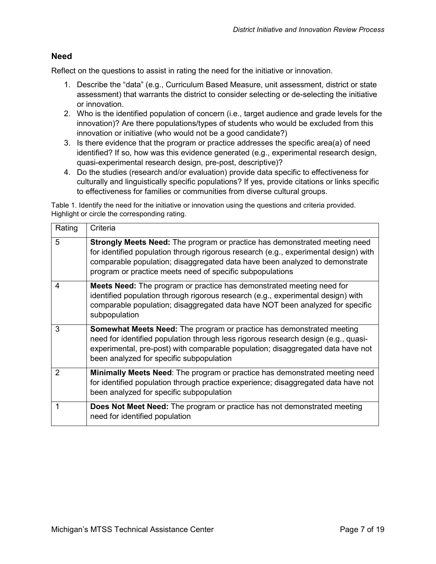#### <span id="page-6-0"></span>**Need**

Reflect on the questions to assist in rating the need for the initiative or innovation.

- 1. Describe the "data" (e.g., Curriculum Based Measure, unit assessment, district or state assessment) that warrants the district to consider selecting or de-selecting the initiative or innovation.
- 2. Who is the identified population of concern (i.e., target audience and grade levels for the innovation)? Are there populations/types of students who would be excluded from this innovation or initiative (who would not be a good candidate?)
- 3. Is there evidence that the program or practice addresses the specific area(a) of need identified? If so, how was this evidence generated (e.g., experimental research design, quasi-experimental research design, pre-post, descriptive)?
- 4. Do the studies (research and/or evaluation) provide data specific to effectiveness for culturally and linguistically specific populations? If yes, provide citations or links specific to effectiveness for families or communities from diverse cultural groups.

Table 1. Identify the need for the initiative or innovation using the questions and criteria provided. Highlight or circle the corresponding rating.

| Rating        | Criteria                                                                                                                                                                                                                                                                                                              |
|---------------|-----------------------------------------------------------------------------------------------------------------------------------------------------------------------------------------------------------------------------------------------------------------------------------------------------------------------|
| 5             | <b>Strongly Meets Need:</b> The program or practice has demonstrated meeting need<br>for identified population through rigorous research (e.g., experimental design) with<br>comparable population; disaggregated data have been analyzed to demonstrate<br>program or practice meets need of specific subpopulations |
| 4             | Meets Need: The program or practice has demonstrated meeting need for<br>identified population through rigorous research (e.g., experimental design) with<br>comparable population; disaggregated data have NOT been analyzed for specific<br>subpopulation                                                           |
| 3             | <b>Somewhat Meets Need:</b> The program or practice has demonstrated meeting<br>need for identified population through less rigorous research design (e.g., quasi-<br>experimental, pre-post) with comparable population; disaggregated data have not<br>been analyzed for specific subpopulation                     |
| $\mathcal{P}$ | <b>Minimally Meets Need:</b> The program or practice has demonstrated meeting need<br>for identified population through practice experience; disaggregated data have not<br>been analyzed for specific subpopulation                                                                                                  |
|               | <b>Does Not Meet Need:</b> The program or practice has not demonstrated meeting<br>need for identified population                                                                                                                                                                                                     |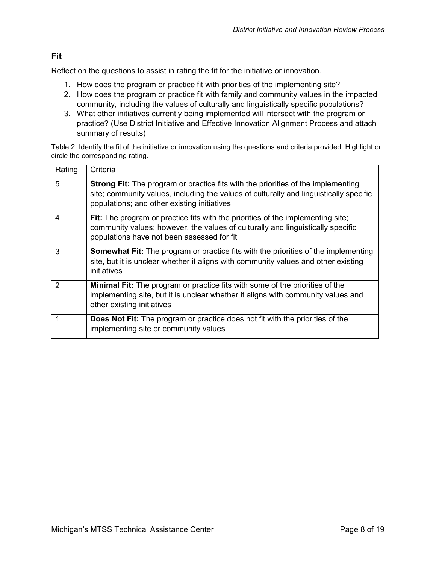## <span id="page-7-0"></span>**Fit**

Reflect on the questions to assist in rating the fit for the initiative or innovation.

- 1. How does the program or practice fit with priorities of the implementing site?
- 2. How does the program or practice fit with family and community values in the impacted community, including the values of culturally and linguistically specific populations?
- 3. What other initiatives currently being implemented will intersect with the program or practice? (Use District Initiative and Effective Innovation Alignment Process and attach summary of results)

Table 2. Identify the fit of the initiative or innovation using the questions and criteria provided. Highlight or circle the corresponding rating.

| Rating         | Criteria                                                                                                                                                                                                                         |
|----------------|----------------------------------------------------------------------------------------------------------------------------------------------------------------------------------------------------------------------------------|
| 5              | <b>Strong Fit:</b> The program or practice fits with the priorities of the implementing<br>site; community values, including the values of culturally and linguistically specific<br>populations; and other existing initiatives |
| 4              | Fit: The program or practice fits with the priorities of the implementing site;<br>community values; however, the values of culturally and linguistically specific<br>populations have not been assessed for fit                 |
| 3              | <b>Somewhat Fit:</b> The program or practice fits with the priorities of the implementing<br>site, but it is unclear whether it aligns with community values and other existing<br>initiatives                                   |
| $\overline{2}$ | <b>Minimal Fit:</b> The program or practice fits with some of the priorities of the<br>implementing site, but it is unclear whether it aligns with community values and<br>other existing initiatives                            |
|                | <b>Does Not Fit:</b> The program or practice does not fit with the priorities of the<br>implementing site or community values                                                                                                    |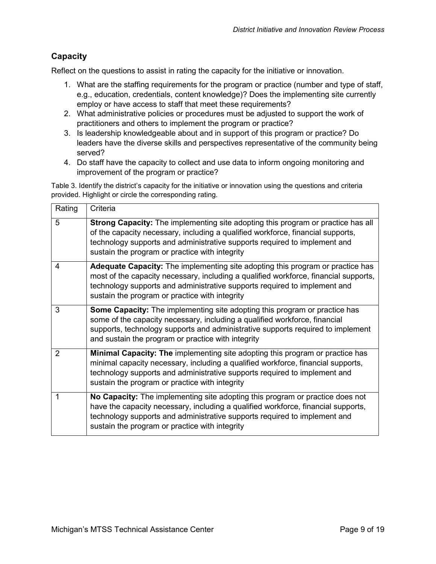## <span id="page-8-0"></span>**Capacity**

Reflect on the questions to assist in rating the capacity for the initiative or innovation.

- 1. What are the staffing requirements for the program or practice (number and type of staff, e.g., education, credentials, content knowledge)? Does the implementing site currently employ or have access to staff that meet these requirements?
- 2. What administrative policies or procedures must be adjusted to support the work of practitioners and others to implement the program or practice?
- 3. Is leadership knowledgeable about and in support of this program or practice? Do leaders have the diverse skills and perspectives representative of the community being served?
- 4. Do staff have the capacity to collect and use data to inform ongoing monitoring and improvement of the program or practice?

Table 3. Identify the district's capacity for the initiative or innovation using the questions and criteria provided. Highlight or circle the corresponding rating.

| Rating                  | Criteria                                                                                                                                                                                                                                                                                                     |
|-------------------------|--------------------------------------------------------------------------------------------------------------------------------------------------------------------------------------------------------------------------------------------------------------------------------------------------------------|
| 5                       | Strong Capacity: The implementing site adopting this program or practice has all<br>of the capacity necessary, including a qualified workforce, financial supports,<br>technology supports and administrative supports required to implement and<br>sustain the program or practice with integrity           |
| $\overline{\mathbf{4}}$ | <b>Adequate Capacity:</b> The implementing site adopting this program or practice has<br>most of the capacity necessary, including a qualified workforce, financial supports,<br>technology supports and administrative supports required to implement and<br>sustain the program or practice with integrity |
| 3                       | <b>Some Capacity:</b> The implementing site adopting this program or practice has<br>some of the capacity necessary, including a qualified workforce, financial<br>supports, technology supports and administrative supports required to implement<br>and sustain the program or practice with integrity     |
| $\overline{2}$          | <b>Minimal Capacity: The implementing site adopting this program or practice has</b><br>minimal capacity necessary, including a qualified workforce, financial supports,<br>technology supports and administrative supports required to implement and<br>sustain the program or practice with integrity      |
|                         | No Capacity: The implementing site adopting this program or practice does not<br>have the capacity necessary, including a qualified workforce, financial supports,<br>technology supports and administrative supports required to implement and<br>sustain the program or practice with integrity            |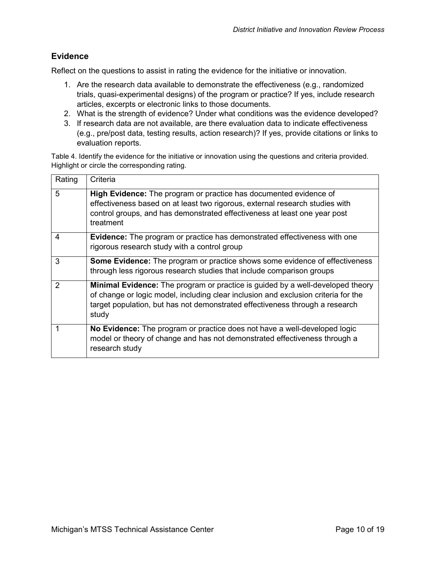## <span id="page-9-0"></span>**Evidence**

Reflect on the questions to assist in rating the evidence for the initiative or innovation.

- 1. Are the research data available to demonstrate the effectiveness (e.g., randomized trials, quasi-experimental designs) of the program or practice? If yes, include research articles, excerpts or electronic links to those documents.
- 2. What is the strength of evidence? Under what conditions was the evidence developed?
- 3. If research data are not available, are there evaluation data to indicate effectiveness (e.g., pre/post data, testing results, action research)? If yes, provide citations or links to evaluation reports.

Table 4. Identify the evidence for the initiative or innovation using the questions and criteria provided. Highlight or circle the corresponding rating.

| Rating        | Criteria                                                                                                                                                                                                                                                             |
|---------------|----------------------------------------------------------------------------------------------------------------------------------------------------------------------------------------------------------------------------------------------------------------------|
| 5             | High Evidence: The program or practice has documented evidence of<br>effectiveness based on at least two rigorous, external research studies with<br>control groups, and has demonstrated effectiveness at least one year post<br>treatment                          |
| 4             | <b>Evidence:</b> The program or practice has demonstrated effectiveness with one<br>rigorous research study with a control group                                                                                                                                     |
| 3             | Some Evidence: The program or practice shows some evidence of effectiveness<br>through less rigorous research studies that include comparison groups                                                                                                                 |
| $\mathcal{P}$ | <b>Minimal Evidence:</b> The program or practice is guided by a well-developed theory<br>of change or logic model, including clear inclusion and exclusion criteria for the<br>target population, but has not demonstrated effectiveness through a research<br>study |
|               | No Evidence: The program or practice does not have a well-developed logic<br>model or theory of change and has not demonstrated effectiveness through a<br>research study                                                                                            |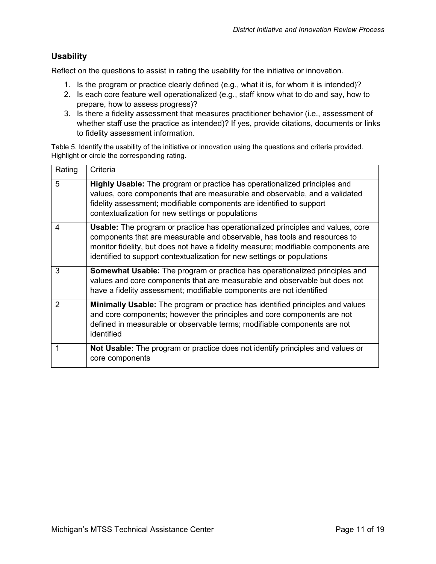## <span id="page-10-0"></span>**Usability**

Reflect on the questions to assist in rating the usability for the initiative or innovation.

- 1. Is the program or practice clearly defined (e.g., what it is, for whom it is intended)?
- 2. Is each core feature well operationalized (e.g., staff know what to do and say, how to prepare, how to assess progress)?
- 3. Is there a fidelity assessment that measures practitioner behavior (i.e., assessment of whether staff use the practice as intended)? If yes, provide citations, documents or links to fidelity assessment information.

Table 5. Identify the usability of the initiative or innovation using the questions and criteria provided. Highlight or circle the corresponding rating.

| Rating                   | Criteria                                                                                                                                                                                                                                                                                                                            |
|--------------------------|-------------------------------------------------------------------------------------------------------------------------------------------------------------------------------------------------------------------------------------------------------------------------------------------------------------------------------------|
| 5                        | <b>Highly Usable:</b> The program or practice has operationalized principles and<br>values, core components that are measurable and observable, and a validated<br>fidelity assessment; modifiable components are identified to support<br>contextualization for new settings or populations                                        |
| $\overline{\mathcal{A}}$ | <b>Usable:</b> The program or practice has operationalized principles and values, core<br>components that are measurable and observable, has tools and resources to<br>monitor fidelity, but does not have a fidelity measure; modifiable components are<br>identified to support contextualization for new settings or populations |
| 3                        | <b>Somewhat Usable:</b> The program or practice has operationalized principles and<br>values and core components that are measurable and observable but does not<br>have a fidelity assessment; modifiable components are not identified                                                                                            |
| 2                        | <b>Minimally Usable:</b> The program or practice has identified principles and values<br>and core components; however the principles and core components are not<br>defined in measurable or observable terms; modifiable components are not<br>identified                                                                          |
|                          | <b>Not Usable:</b> The program or practice does not identify principles and values or<br>core components                                                                                                                                                                                                                            |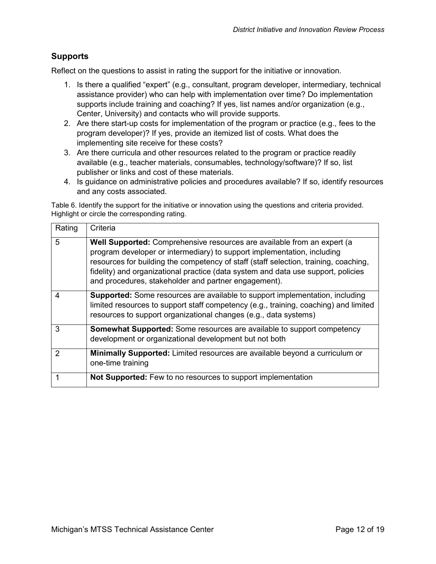## <span id="page-11-0"></span>**Supports**

Reflect on the questions to assist in rating the support for the initiative or innovation.

- 1. Is there a qualified "expert" (e.g., consultant, program developer, intermediary, technical assistance provider) who can help with implementation over time? Do implementation supports include training and coaching? If yes, list names and/or organization (e.g., Center, University) and contacts who will provide supports.
- 2. Are there start-up costs for implementation of the program or practice (e.g., fees to the program developer)? If yes, provide an itemized list of costs. What does the implementing site receive for these costs?
- 3. Are there curricula and other resources related to the program or practice readily available (e.g., teacher materials, consumables, technology/software)? If so, list publisher or links and cost of these materials.
- 4. Is guidance on administrative policies and procedures available? If so, identify resources and any costs associated.

Table 6. Identify the support for the initiative or innovation using the questions and criteria provided. Highlight or circle the corresponding rating.

| Rating | Criteria                                                                                                                                                                                                                                                                                                                                                                                |
|--------|-----------------------------------------------------------------------------------------------------------------------------------------------------------------------------------------------------------------------------------------------------------------------------------------------------------------------------------------------------------------------------------------|
| 5      | Well Supported: Comprehensive resources are available from an expert (a<br>program developer or intermediary) to support implementation, including<br>resources for building the competency of staff (staff selection, training, coaching,<br>fidelity) and organizational practice (data system and data use support, policies<br>and procedures, stakeholder and partner engagement). |
| 4      | <b>Supported:</b> Some resources are available to support implementation, including<br>limited resources to support staff competency (e.g., training, coaching) and limited<br>resources to support organizational changes (e.g., data systems)                                                                                                                                         |
| 3      | <b>Somewhat Supported:</b> Some resources are available to support competency<br>development or organizational development but not both                                                                                                                                                                                                                                                 |
| 2      | <b>Minimally Supported:</b> Limited resources are available beyond a curriculum or<br>one-time training                                                                                                                                                                                                                                                                                 |
|        | Not Supported: Few to no resources to support implementation                                                                                                                                                                                                                                                                                                                            |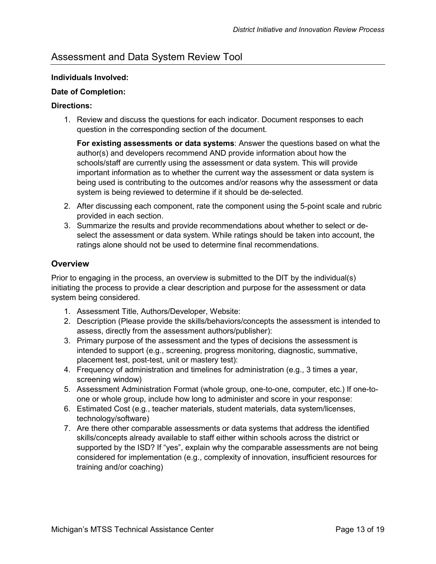## <span id="page-12-0"></span>Assessment and Data System Review Tool

#### **Individuals Involved:**

#### **Date of Completion:**

#### **Directions:**

1. Review and discuss the questions for each indicator. Document responses to each question in the corresponding section of the document.

**For existing assessments or data systems**: Answer the questions based on what the author(s) and developers recommend AND provide information about how the schools/staff are currently using the assessment or data system. This will provide important information as to whether the current way the assessment or data system is being used is contributing to the outcomes and/or reasons why the assessment or data system is being reviewed to determine if it should be de-selected.

- 2. After discussing each component, rate the component using the 5-point scale and rubric provided in each section.
- 3. Summarize the results and provide recommendations about whether to select or deselect the assessment or data system. While ratings should be taken into account, the ratings alone should not be used to determine final recommendations.

## <span id="page-12-1"></span>**Overview**

Prior to engaging in the process, an overview is submitted to the DIT by the individual(s) initiating the process to provide a clear description and purpose for the assessment or data system being considered.

- 1. Assessment Title, Authors/Developer, Website:
- 2. Description (Please provide the skills/behaviors/concepts the assessment is intended to assess, directly from the assessment authors/publisher):
- 3. Primary purpose of the assessment and the types of decisions the assessment is intended to support (e.g., screening, progress monitoring, diagnostic, summative, placement test, post-test, unit or mastery test):
- 4. Frequency of administration and timelines for administration (e.g., 3 times a year, screening window)
- 5. Assessment Administration Format (whole group, one-to-one, computer, etc.) If one-toone or whole group, include how long to administer and score in your response:
- 6. Estimated Cost (e.g., teacher materials, student materials, data system/licenses, technology/software)
- 7. Are there other comparable assessments or data systems that address the identified skills/concepts already available to staff either within schools across the district or supported by the ISD? If "yes", explain why the comparable assessments are not being considered for implementation (e.g., complexity of innovation, insufficient resources for training and/or coaching)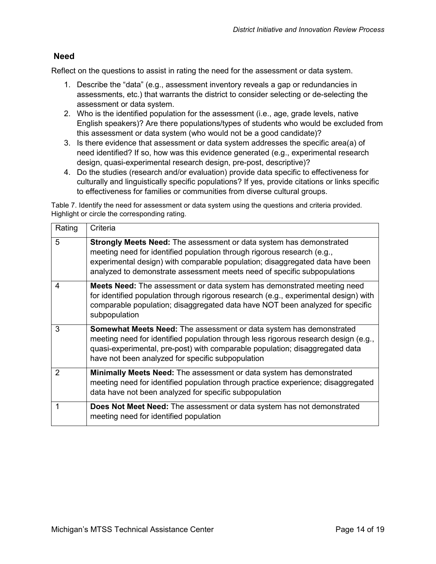## <span id="page-13-0"></span>**Need**

Reflect on the questions to assist in rating the need for the assessment or data system.

- 1. Describe the "data" (e.g., assessment inventory reveals a gap or redundancies in assessments, etc.) that warrants the district to consider selecting or de-selecting the assessment or data system.
- 2. Who is the identified population for the assessment (i.e., age, grade levels, native English speakers)? Are there populations/types of students who would be excluded from this assessment or data system (who would not be a good candidate)?
- 3. Is there evidence that assessment or data system addresses the specific area(a) of need identified? If so, how was this evidence generated (e.g., experimental research design, quasi-experimental research design, pre-post, descriptive)?
- 4. Do the studies (research and/or evaluation) provide data specific to effectiveness for culturally and linguistically specific populations? If yes, provide citations or links specific to effectiveness for families or communities from diverse cultural groups.

Table 7. Identify the need for assessment or data system using the questions and criteria provided. Highlight or circle the corresponding rating.

| Rating         | Criteria                                                                                                                                                                                                                                                                                                           |
|----------------|--------------------------------------------------------------------------------------------------------------------------------------------------------------------------------------------------------------------------------------------------------------------------------------------------------------------|
| 5              | <b>Strongly Meets Need:</b> The assessment or data system has demonstrated<br>meeting need for identified population through rigorous research (e.g.,<br>experimental design) with comparable population; disaggregated data have been<br>analyzed to demonstrate assessment meets need of specific subpopulations |
| 4              | <b>Meets Need:</b> The assessment or data system has demonstrated meeting need<br>for identified population through rigorous research (e.g., experimental design) with<br>comparable population; disaggregated data have NOT been analyzed for specific<br>subpopulation                                           |
| 3              | <b>Somewhat Meets Need:</b> The assessment or data system has demonstrated<br>meeting need for identified population through less rigorous research design (e.g.,<br>quasi-experimental, pre-post) with comparable population; disaggregated data<br>have not been analyzed for specific subpopulation             |
| $\overline{2}$ | <b>Minimally Meets Need:</b> The assessment or data system has demonstrated<br>meeting need for identified population through practice experience; disaggregated<br>data have not been analyzed for specific subpopulation                                                                                         |
| 1              | <b>Does Not Meet Need:</b> The assessment or data system has not demonstrated<br>meeting need for identified population                                                                                                                                                                                            |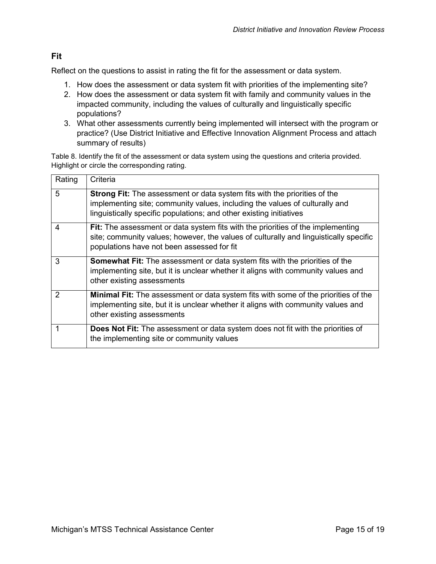## <span id="page-14-0"></span>**Fit**

Reflect on the questions to assist in rating the fit for the assessment or data system.

- 1. How does the assessment or data system fit with priorities of the implementing site?
- 2. How does the assessment or data system fit with family and community values in the impacted community, including the values of culturally and linguistically specific populations?
- 3. What other assessments currently being implemented will intersect with the program or practice? (Use District Initiative and Effective Innovation Alignment Process and attach summary of results)

Table 8. Identify the fit of the assessment or data system using the questions and criteria provided. Highlight or circle the corresponding rating.

| Rating        | Criteria                                                                                                                                                                                                                               |
|---------------|----------------------------------------------------------------------------------------------------------------------------------------------------------------------------------------------------------------------------------------|
| 5             | <b>Strong Fit:</b> The assessment or data system fits with the priorities of the<br>implementing site; community values, including the values of culturally and<br>linguistically specific populations; and other existing initiatives |
| 4             | Fit: The assessment or data system fits with the priorities of the implementing<br>site; community values; however, the values of culturally and linguistically specific<br>populations have not been assessed for fit                 |
| 3             | <b>Somewhat Fit:</b> The assessment or data system fits with the priorities of the<br>implementing site, but it is unclear whether it aligns with community values and<br>other existing assessments                                   |
| $\mathcal{P}$ | Minimal Fit: The assessment or data system fits with some of the priorities of the<br>implementing site, but it is unclear whether it aligns with community values and<br>other existing assessments                                   |
|               | Does Not Fit: The assessment or data system does not fit with the priorities of<br>the implementing site or community values                                                                                                           |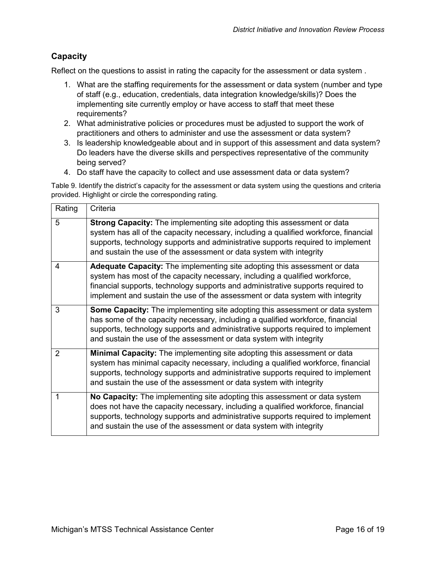## <span id="page-15-0"></span>**Capacity**

Reflect on the questions to assist in rating the capacity for the assessment or data system .

- 1. What are the staffing requirements for the assessment or data system (number and type of staff (e.g., education, credentials, data integration knowledge/skills)? Does the implementing site currently employ or have access to staff that meet these requirements?
- 2. What administrative policies or procedures must be adjusted to support the work of practitioners and others to administer and use the assessment or data system?
- 3. Is leadership knowledgeable about and in support of this assessment and data system? Do leaders have the diverse skills and perspectives representative of the community being served?
- 4. Do staff have the capacity to collect and use assessment data or data system?

Table 9. Identify the district's capacity for the assessment or data system using the questions and criteria provided. Highlight or circle the corresponding rating.

| Rating         | Criteria                                                                                                                                                                                                                                                                                                                        |
|----------------|---------------------------------------------------------------------------------------------------------------------------------------------------------------------------------------------------------------------------------------------------------------------------------------------------------------------------------|
| 5              | Strong Capacity: The implementing site adopting this assessment or data<br>system has all of the capacity necessary, including a qualified workforce, financial<br>supports, technology supports and administrative supports required to implement<br>and sustain the use of the assessment or data system with integrity       |
| 4              | Adequate Capacity: The implementing site adopting this assessment or data<br>system has most of the capacity necessary, including a qualified workforce,<br>financial supports, technology supports and administrative supports required to<br>implement and sustain the use of the assessment or data system with integrity    |
| 3              | <b>Some Capacity:</b> The implementing site adopting this assessment or data system<br>has some of the capacity necessary, including a qualified workforce, financial<br>supports, technology supports and administrative supports required to implement<br>and sustain the use of the assessment or data system with integrity |
| $\overline{2}$ | <b>Minimal Capacity:</b> The implementing site adopting this assessment or data<br>system has minimal capacity necessary, including a qualified workforce, financial<br>supports, technology supports and administrative supports required to implement<br>and sustain the use of the assessment or data system with integrity  |
| 1              | No Capacity: The implementing site adopting this assessment or data system<br>does not have the capacity necessary, including a qualified workforce, financial<br>supports, technology supports and administrative supports required to implement<br>and sustain the use of the assessment or data system with integrity        |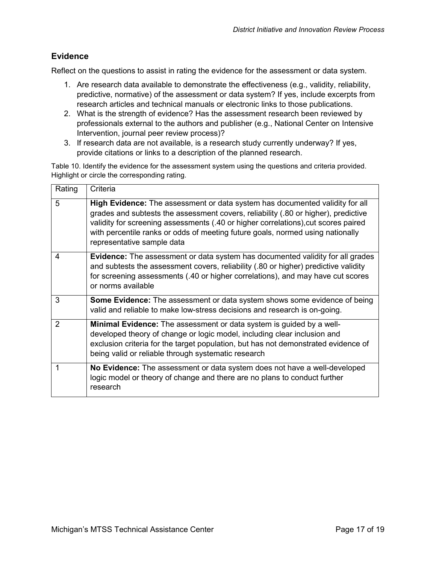### <span id="page-16-0"></span>**Evidence**

Reflect on the questions to assist in rating the evidence for the assessment or data system.

- 1. Are research data available to demonstrate the effectiveness (e.g., validity, reliability, predictive, normative) of the assessment or data system? If yes, include excerpts from research articles and technical manuals or electronic links to those publications.
- 2. What is the strength of evidence? Has the assessment research been reviewed by professionals external to the authors and publisher (e.g., National Center on Intensive Intervention, journal peer review process)?
- 3. If research data are not available, is a research study currently underway? If yes, provide citations or links to a description of the planned research.

Table 10. Identify the evidence for the assessment system using the questions and criteria provided. Highlight or circle the corresponding rating.

| Rating         | Criteria                                                                                                                                                                                                                                                                                                                                                                 |
|----------------|--------------------------------------------------------------------------------------------------------------------------------------------------------------------------------------------------------------------------------------------------------------------------------------------------------------------------------------------------------------------------|
| 5              | High Evidence: The assessment or data system has documented validity for all<br>grades and subtests the assessment covers, reliability (.80 or higher), predictive<br>validity for screening assessments (.40 or higher correlations), cut scores paired<br>with percentile ranks or odds of meeting future goals, normed using nationally<br>representative sample data |
| $\overline{4}$ | <b>Evidence:</b> The assessment or data system has documented validity for all grades<br>and subtests the assessment covers, reliability (.80 or higher) predictive validity<br>for screening assessments (.40 or higher correlations), and may have cut scores<br>or norms available                                                                                    |
| 3              | Some Evidence: The assessment or data system shows some evidence of being<br>valid and reliable to make low-stress decisions and research is on-going.                                                                                                                                                                                                                   |
| $\mathcal{P}$  | <b>Minimal Evidence:</b> The assessment or data system is guided by a well-<br>developed theory of change or logic model, including clear inclusion and<br>exclusion criteria for the target population, but has not demonstrated evidence of<br>being valid or reliable through systematic research                                                                     |
|                | No Evidence: The assessment or data system does not have a well-developed<br>logic model or theory of change and there are no plans to conduct further<br>research                                                                                                                                                                                                       |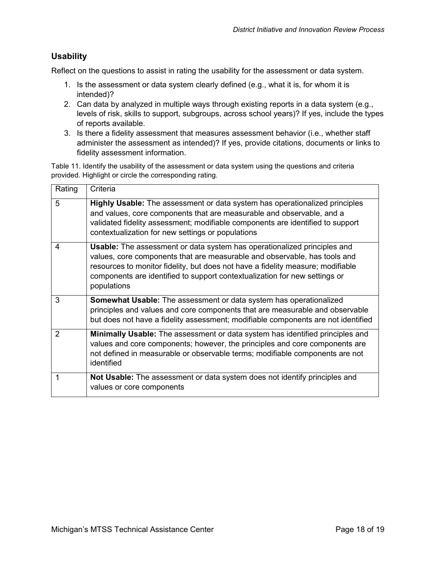## <span id="page-17-0"></span>**Usability**

Reflect on the questions to assist in rating the usability for the assessment or data system.

- 1. Is the assessment or data system clearly defined (e.g., what it is, for whom it is intended)?
- 2. Can data by analyzed in multiple ways through existing reports in a data system (e.g., levels of risk, skills to support, subgroups, across school years)? If yes, include the types of reports available.
- 3. Is there a fidelity assessment that measures assessment behavior (i.e., whether staff administer the assessment as intended)? If yes, provide citations, documents or links to fidelity assessment information.

Table 11. Identify the usability of the assessment or data system using the questions and criteria provided. Highlight or circle the corresponding rating.

| Rating | Criteria                                                                                                                                                                                                                                                                                                                                     |
|--------|----------------------------------------------------------------------------------------------------------------------------------------------------------------------------------------------------------------------------------------------------------------------------------------------------------------------------------------------|
| 5      | Highly Usable: The assessment or data system has operationalized principles<br>and values, core components that are measurable and observable, and a<br>validated fidelity assessment; modifiable components are identified to support<br>contextualization for new settings or populations                                                  |
| 4      | <b>Usable:</b> The assessment or data system has operationalized principles and<br>values, core components that are measurable and observable, has tools and<br>resources to monitor fidelity, but does not have a fidelity measure; modifiable<br>components are identified to support contextualization for new settings or<br>populations |
| 3      | Somewhat Usable: The assessment or data system has operationalized<br>principles and values and core components that are measurable and observable<br>but does not have a fidelity assessment; modifiable components are not identified                                                                                                      |
| 2      | <b>Minimally Usable:</b> The assessment or data system has identified principles and<br>values and core components; however, the principles and core components are<br>not defined in measurable or observable terms; modifiable components are not<br>identified                                                                            |
| 1      | <b>Not Usable:</b> The assessment or data system does not identify principles and<br>values or core components                                                                                                                                                                                                                               |